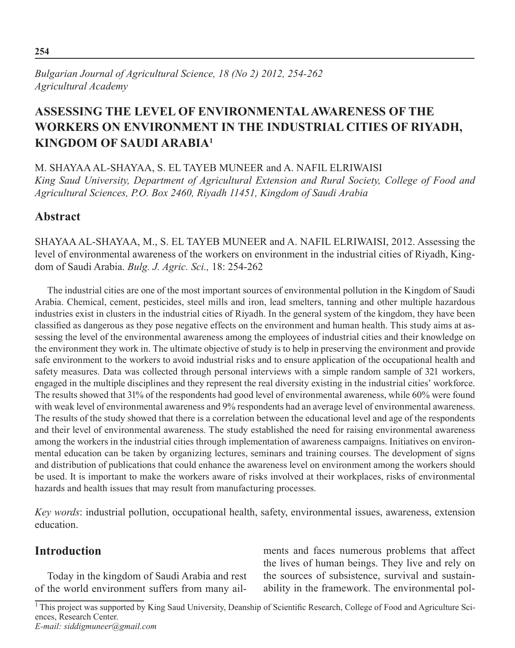# **Assessing the level of Environmental Awareness of the Workers on Environment in the Industrial Cities of Riyadh, Kingdom of Saudi Arabia1**

M. Shayaa Al-Shayaa, S. El Tayeb Muneer and A. Nafil Elriwaisi *King Saud University, Department of Agricultural Extension and Rural Society, College of Food and Agricultural Sciences, P.O. Box 2460, Riyadh 11451, Kingdom of Saudi Arabia*

# **Abstract**

SHAYAA AL-SHAYAA, M., S. EL TAYEB MUNEER and A. NAFIL ELRIWAISI, 2012. Assessing the level of environmental awareness of the workers on environment in the industrial cities of Riyadh, Kingdom of Saudi Arabia. *Bulg. J. Agric. Sci.,* 18: 254-262

The industrial cities are one of the most important sources of environmental pollution in the Kingdom of Saudi Arabia. Chemical, cement, pesticides, steel mills and iron, lead smelters, tanning and other multiple hazardous industries exist in clusters in the industrial cities of Riyadh. In the general system of the kingdom, they have been classified as dangerous as they pose negative effects on the environment and human health. This study aims at assessing the level of the environmental awareness among the employees of industrial cities and their knowledge on the environment they work in. The ultimate objective of study is to help in preserving the environment and provide safe environment to the workers to avoid industrial risks and to ensure application of the occupational health and safety measures. Data was collected through personal interviews with a simple random sample of 321 workers, engaged in the multiple disciplines and they represent the real diversity existing in the industrial cities' workforce. The results showed that 31% of the respondents had good level of environmental awareness, while 60% were found with weak level of environmental awareness and 9% respondents had an average level of environmental awareness. The results of the study showed that there is a correlation between the educational level and age of the respondents and their level of environmental awareness. The study established the need for raising environmental awareness among the workers in the industrial cities through implementation of awareness campaigns. Initiatives on environmental education can be taken by organizing lectures, seminars and training courses. The development of signs and distribution of publications that could enhance the awareness level on environment among the workers should be used. It is important to make the workers aware of risks involved at their workplaces, risks of environmental hazards and health issues that may result from manufacturing processes.

*Key words*: industrial pollution, occupational health, safety, environmental issues, awareness, extension education.

# **Introduction**

Today in the kingdom of Saudi Arabia and rest of the world environment suffers from many ailments and faces numerous problems that affect the lives of human beings. They live and rely on the sources of subsistence, survival and sustainability in the framework. The environmental pol-

<sup>&</sup>lt;sup>1</sup>This project was supported by King Saud University, Deanship of Scientific Research, College of Food and Agriculture Sciences, Research Center.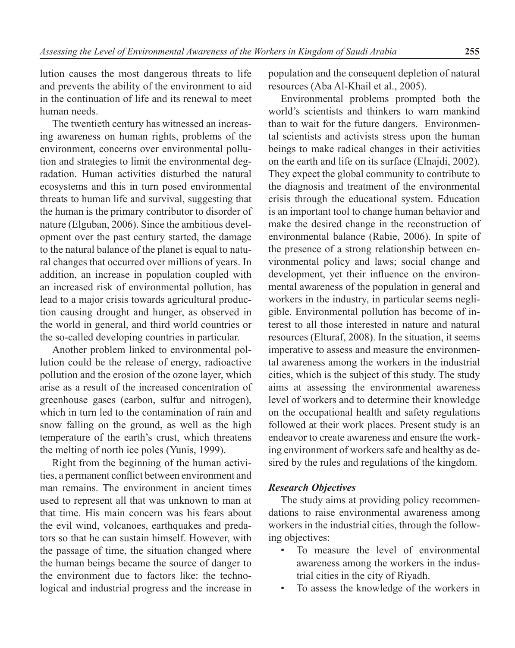lution causes the most dangerous threats to life and prevents the ability of the environment to aid in the continuation of life and its renewal to meet human needs.

The twentieth century has witnessed an increasing awareness on human rights, problems of the environment, concerns over environmental pollution and strategies to limit the environmental degradation. Human activities disturbed the natural ecosystems and this in turn posed environmental threats to human life and survival, suggesting that the human is the primary contributor to disorder of nature (Elguban, 2006). Since the ambitious development over the past century started, the damage to the natural balance of the planet is equal to natural changes that occurred over millions of years. In addition, an increase in population coupled with an increased risk of environmental pollution, has lead to a major crisis towards agricultural production causing drought and hunger, as observed in the world in general, and third world countries or the so-called developing countries in particular.

Another problem linked to environmental pollution could be the release of energy, radioactive pollution and the erosion of the ozone layer, which arise as a result of the increased concentration of greenhouse gases (carbon, sulfur and nitrogen), which in turn led to the contamination of rain and snow falling on the ground, as well as the high temperature of the earth's crust, which threatens the melting of north ice poles (Yunis, 1999).

Right from the beginning of the human activities, a permanent conflict between environment and man remains. The environment in ancient times used to represent all that was unknown to man at that time. His main concern was his fears about the evil wind, volcanoes, earthquakes and predators so that he can sustain himself. However, with the passage of time, the situation changed where the human beings became the source of danger to the environment due to factors like: the technological and industrial progress and the increase in population and the consequent depletion of natural resources (Aba Al-Khail et al., 2005).

Environmental problems prompted both the world's scientists and thinkers to warn mankind than to wait for the future dangers. Environmental scientists and activists stress upon the human beings to make radical changes in their activities on the earth and life on its surface (Elnajdi, 2002). They expect the global community to contribute to the diagnosis and treatment of the environmental crisis through the educational system. Education is an important tool to change human behavior and make the desired change in the reconstruction of environmental balance (Rabie, 2006). In spite of the presence of a strong relationship between environmental policy and laws; social change and development, yet their influence on the environmental awareness of the population in general and workers in the industry, in particular seems negligible. Environmental pollution has become of interest to all those interested in nature and natural resources (Elturaf, 2008). In the situation, it seems imperative to assess and measure the environmental awareness among the workers in the industrial cities, which is the subject of this study. The study aims at assessing the environmental awareness level of workers and to determine their knowledge on the occupational health and safety regulations followed at their work places. Present study is an endeavor to create awareness and ensure the working environment of workers safe and healthy as desired by the rules and regulations of the kingdom.

### *Research Objectives*

The study aims at providing policy recommendations to raise environmental awareness among workers in the industrial cities, through the following objectives:

- To measure the level of environmental awareness among the workers in the industrial cities in the city of Riyadh.
- To assess the knowledge of the workers in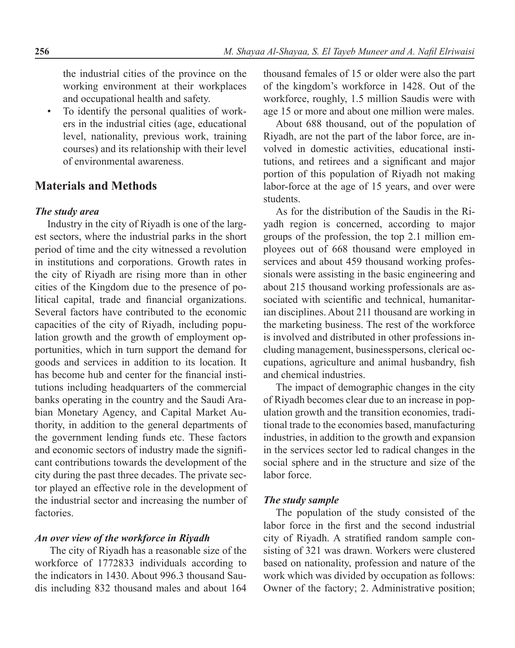the industrial cities of the province on the working environment at their workplaces and occupational health and safety.

To identify the personal qualities of workers in the industrial cities (age, educational level, nationality, previous work, training courses) and its relationship with their level of environmental awareness.

## **Materials and Methods**

## *The study area*

Industry in the city of Riyadh is one of the largest sectors, where the industrial parks in the short period of time and the city witnessed a revolution in institutions and corporations. Growth rates in the city of Riyadh are rising more than in other cities of the Kingdom due to the presence of political capital, trade and financial organizations. Several factors have contributed to the economic capacities of the city of Riyadh, including population growth and the growth of employment opportunities, which in turn support the demand for goods and services in addition to its location. It has become hub and center for the financial institutions including headquarters of the commercial banks operating in the country and the Saudi Arabian Monetary Agency, and Capital Market Authority, in addition to the general departments of the government lending funds etc. These factors and economic sectors of industry made the significant contributions towards the development of the city during the past three decades. The private sector played an effective role in the development of the industrial sector and increasing the number of factories.

## *An over view of the workforce in Riyadh*

 The city of Riyadh has a reasonable size of the workforce of 1772833 individuals according to the indicators in 1430. About 996.3 thousand Saudis including 832 thousand males and about 164 thousand females of 15 or older were also the part of the kingdom's workforce in 1428. Out of the workforce, roughly, 1.5 million Saudis were with age 15 or more and about one million were males.

About 688 thousand, out of the population of Riyadh, are not the part of the labor force, are involved in domestic activities, educational institutions, and retirees and a significant and major portion of this population of Riyadh not making labor-force at the age of 15 years, and over were students.

As for the distribution of the Saudis in the Riyadh region is concerned, according to major groups of the profession, the top 2.1 million employees out of 668 thousand were employed in services and about 459 thousand working professionals were assisting in the basic engineering and about 215 thousand working professionals are associated with scientific and technical, humanitarian disciplines. About 211 thousand are working in the marketing business. The rest of the workforce is involved and distributed in other professions including management, businesspersons, clerical occupations, agriculture and animal husbandry, fish and chemical industries.

The impact of demographic changes in the city of Riyadh becomes clear due to an increase in population growth and the transition economies, traditional trade to the economies based, manufacturing industries, in addition to the growth and expansion in the services sector led to radical changes in the social sphere and in the structure and size of the labor force.

### *The study sample*

The population of the study consisted of the labor force in the first and the second industrial city of Riyadh. A stratified random sample consisting of 321 was drawn. Workers were clustered based on nationality, profession and nature of the work which was divided by occupation as follows: Owner of the factory; 2. Administrative position;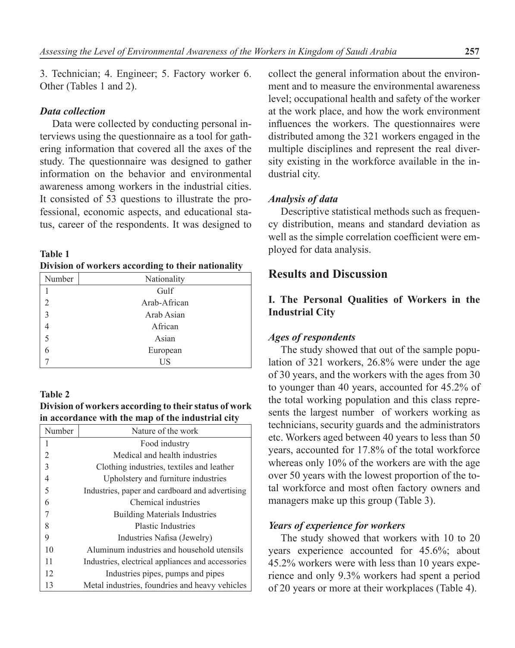3. Technician; 4. Engineer; 5. Factory worker 6. Other (Tables 1 and 2).

### *Data collection*

Data were collected by conducting personal interviews using the questionnaire as a tool for gathering information that covered all the axes of the study. The questionnaire was designed to gather information on the behavior and environmental awareness among workers in the industrial cities. It consisted of 53 questions to illustrate the professional, economic aspects, and educational status, career of the respondents. It was designed to

| Table 1 |                                                    |  |
|---------|----------------------------------------------------|--|
|         | Division of workers according to their nationality |  |

| Number         | Nationality  |
|----------------|--------------|
|                | Gulf         |
| $\overline{2}$ | Arab-African |
| $\overline{3}$ | Arab Asian   |
| 4              | African      |
| 5              | Asian        |
| 6              | European     |
|                | US           |

### **Table 2**

**Division of workers according to their status of work in accordance with the map of the industrial city**

| Number         | Nature of the work                                |
|----------------|---------------------------------------------------|
| 1              | Food industry                                     |
| $\overline{2}$ | Medical and health industries                     |
| $\overline{3}$ | Clothing industries, textiles and leather         |
| $\overline{4}$ | Upholstery and furniture industries               |
| 5              | Industries, paper and cardboard and advertising   |
| 6              | Chemical industries                               |
|                | <b>Building Materials Industries</b>              |
| 8              | <b>Plastic Industries</b>                         |
| 9              | Industries Nafisa (Jewelry)                       |
| 10             | Aluminum industries and household utensils        |
| 11             | Industries, electrical appliances and accessories |
| 12             | Industries pipes, pumps and pipes                 |
| 13             | Metal industries, foundries and heavy vehicles    |

collect the general information about the environment and to measure the environmental awareness level; occupational health and safety of the worker at the work place, and how the work environment influences the workers. The questionnaires were distributed among the 321 workers engaged in the multiple disciplines and represent the real diversity existing in the workforce available in the industrial city.

### *Analysis of data*

Descriptive statistical methods such as frequency distribution, means and standard deviation as well as the simple correlation coefficient were employed for data analysis.

## **Results and Discussion**

## **I. The Personal Qualities of Workers in the Industrial City**

### *Ages of respondents*

The study showed that out of the sample population of 321 workers, 26.8% were under the age of 30 years, and the workers with the ages from 30 to younger than 40 years, accounted for 45.2% of the total working population and this class represents the largest number of workers working as technicians, security guards and the administrators etc. Workers aged between 40 years to less than 50 years, accounted for 17.8% of the total workforce whereas only 10% of the workers are with the age over 50 years with the lowest proportion of the total workforce and most often factory owners and managers make up this group (Table 3).

### *Years of experience for workers*

The study showed that workers with 10 to 20 years experience accounted for 45.6%; about 45.2% workers were with less than 10 years experience and only 9.3% workers had spent a period of 20 years or more at their workplaces (Table 4).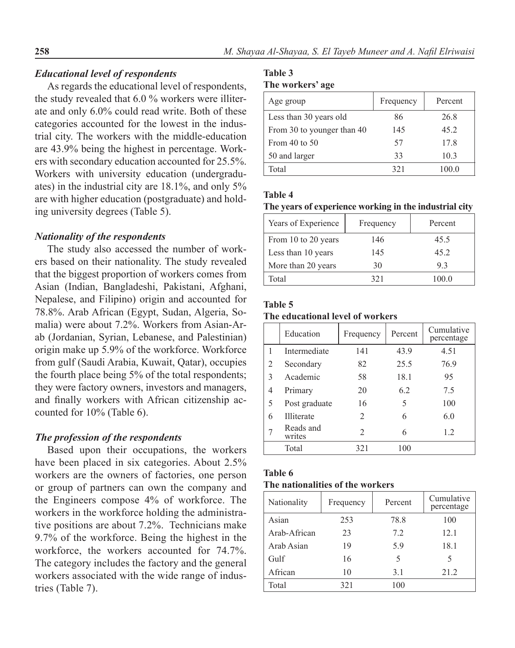## *Educational level of respondents*

As regards the educational level of respondents, the study revealed that 6.0 % workers were illiterate and only 6.0% could read write. Both of these categories accounted for the lowest in the industrial city. The workers with the middle-education are 43.9% being the highest in percentage. Workers with secondary education accounted for 25.5%. Workers with university education (undergraduates) in the industrial city are 18.1%, and only 5% are with higher education (postgraduate) and holding university degrees (Table 5).

## *Nationality of the respondents*

The study also accessed the number of workers based on their nationality. The study revealed that the biggest proportion of workers comes from Asian (Indian, Bangladeshi, Pakistani, Afghani, Nepalese, and Filipino) origin and accounted for 78.8%. Arab African (Egypt, Sudan, Algeria, Somalia) were about 7.2%. Workers from Asian-Arab (Jordanian, Syrian, Lebanese, and Palestinian) origin make up 5.9% of the workforce. Workforce from gulf (Saudi Arabia, Kuwait, Qatar), occupies the fourth place being 5% of the total respondents; they were factory owners, investors and managers, and finally workers with African citizenship accounted for 10% (Table 6).

### *The profession of the respondents*

Based upon their occupations, the workers have been placed in six categories. About 2.5% workers are the owners of factories, one person or group of partners can own the company and the Engineers compose 4% of workforce. The workers in the workforce holding the administrative positions are about 7.2%. Technicians make 9.7% of the workforce. Being the highest in the workforce, the workers accounted for 74.7%. The category includes the factory and the general workers associated with the wide range of industries (Table 7).

# **Table 3**

| The workers' age |  |
|------------------|--|
|------------------|--|

| Age group                  | Frequency | Percent |
|----------------------------|-----------|---------|
| Less than 30 years old     | 86        | 26.8    |
| From 30 to younger than 40 | 145       | 45.2    |
| From 40 to $50$            | 57        | 17.8    |
| 50 and larger              | 33        | 10.3    |
| Total                      | 321       | 100.0   |

### **Table 4**

### **The years of experience working in the industrial city**

| Years of Experience | Frequency | Percent |
|---------------------|-----------|---------|
| From 10 to 20 years | 146       | 45.5    |
| Less than 10 years  | 145       | 45 2    |
| More than 20 years  | 30        | 93      |
| Total               | 321       | 100.0   |

### **Table 5**

### **The educational level of workers**

|   | Education           | Frequency      | Percent | Cumulative<br>percentage |
|---|---------------------|----------------|---------|--------------------------|
| 1 | Intermediate        | 141            | 43.9    | 4.51                     |
| 2 | Secondary           | 82             | 25.5    | 76.9                     |
| 3 | Academic            | 58             | 18.1    | 95                       |
| 4 | Primary             | 20             | 6.2     | 75                       |
| 5 | Post graduate       | 16             | 5       | 100                      |
| 6 | <b>Illiterate</b>   | 2              | 6       | 6.0                      |
|   | Reads and<br>writes | $\mathfrak{D}$ | 6       | 1.2                      |
|   | Total               | 321            | 100     |                          |
|   |                     |                |         |                          |

### **Table 6**

## **The nationalities of the workers**

| Nationality  | Frequency | Percent | Cumulative<br>percentage |
|--------------|-----------|---------|--------------------------|
| Asian        | 253       | 78.8    | 100                      |
| Arab-African | 23        | 7.2     | 12.1                     |
| Arab Asian   | 19        | 5.9     | 18.1                     |
| Gulf         | 16        | 5       | 5                        |
| African      | 10        | 3.1     | 21.2                     |
| Total        | 321       | 100     |                          |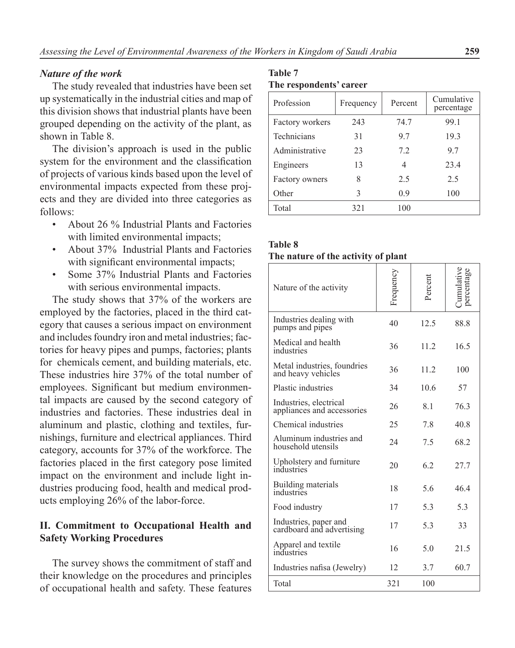### *Nature of the work*

The study revealed that industries have been set up systematically in the industrial cities and map of this division shows that industrial plants have been grouped depending on the activity of the plant, as shown in Table 8.

The division's approach is used in the public system for the environment and the classification of projects of various kinds based upon the level of environmental impacts expected from these projects and they are divided into three categories as follows:

- About 26 % Industrial Plants and Factories with limited environmental impacts:
- About 37% Industrial Plants and Factories with significant environmental impacts;
- Some 37% Industrial Plants and Factories with serious environmental impacts.

The study shows that 37% of the workers are employed by the factories, placed in the third category that causes a serious impact on environment and includes foundry iron and metal industries; factories for heavy pipes and pumps, factories; plants for chemicals cement, and building materials, etc. These industries hire 37% of the total number of employees. Significant but medium environmental impacts are caused by the second category of industries and factories. These industries deal in aluminum and plastic, clothing and textiles, furnishings, furniture and electrical appliances. Third category, accounts for 37% of the workforce. The factories placed in the first category pose limited impact on the environment and include light industries producing food, health and medical products employing 26% of the labor-force.

## **II. Commitment to Occupational Health and Safety Working Procedures**

The survey shows the commitment of staff and their knowledge on the procedures and principles of occupational health and safety. These features

## **Table 7 The respondents' career**

| Profession         | Frequency | Percent | Cumulative<br>percentage |
|--------------------|-----------|---------|--------------------------|
| Factory workers    | 243       | 74.7    | 99.1                     |
| <b>Technicians</b> | 31        | 97      | 19.3                     |
| Administrative     | 23        | 7.2     | 97                       |
| Engineers          | 13        | 4       | 23.4                     |
| Factory owners     | 8         | 2.5     | 2.5                      |
| Other              | 3         | 0.9     | 100                      |
| Total              | 321       | 100     |                          |
|                    |           |         |                          |

| <b>Table 8</b>                      |  |  |
|-------------------------------------|--|--|
| The nature of the activity of plant |  |  |

| Nature of the activity                               | Frequency | Percent         | dumulative<br>percentage |
|------------------------------------------------------|-----------|-----------------|--------------------------|
| Industries dealing with<br>pumps and pipes           | 40        | 12.5            | 88.8                     |
| Medical and health<br>industries                     | 36        | 11.2            | 16.5                     |
| Metal industries, foundries<br>and heavy vehicles    | 36        | 11.2            | 100                      |
| Plastic industries                                   | 34        | 10 <sub>6</sub> | 57                       |
| Industries, electrical<br>appliances and accessories | 26        | 81              | 763                      |
| Chemical industries                                  | 25        | 7.8             | 40.8                     |
| Aluminum industries and<br>household utensils        | 24        | 7.5             | 68 2                     |
| Upholstery and furniture<br>industries               | 20        | 6.2             | 27.7                     |
| Building materials<br>industries                     | 18        | 5.6             | 464                      |
| Food industry                                        | 17        | 5.3             | 5.3                      |
| Industries, paper and<br>cardboard and advertising   | 17        | 5.3             | 33                       |
| Apparel and textile<br>industries                    | 16        | 5.0             | 21.5                     |
| Industries nafisa (Jewelry)                          | 12        | 3.7             | 60.7                     |
| Total                                                | 321       | 100             |                          |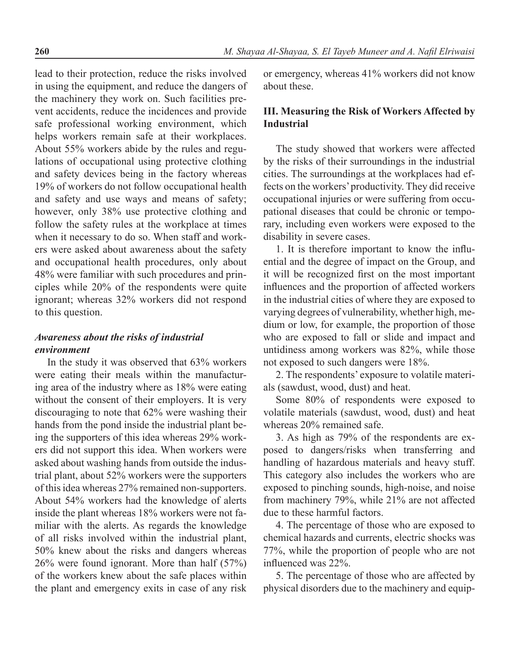lead to their protection, reduce the risks involved in using the equipment, and reduce the dangers of the machinery they work on. Such facilities prevent accidents, reduce the incidences and provide safe professional working environment, which helps workers remain safe at their workplaces. About 55% workers abide by the rules and regulations of occupational using protective clothing and safety devices being in the factory whereas 19% of workers do not follow occupational health and safety and use ways and means of safety; however, only 38% use protective clothing and follow the safety rules at the workplace at times when it necessary to do so. When staff and workers were asked about awareness about the safety and occupational health procedures, only about 48% were familiar with such procedures and principles while 20% of the respondents were quite ignorant; whereas 32% workers did not respond to this question.

## *Awareness about the risks of industrial environment*

In the study it was observed that 63% workers were eating their meals within the manufacturing area of the industry where as 18% were eating without the consent of their employers. It is very discouraging to note that 62% were washing their hands from the pond inside the industrial plant being the supporters of this idea whereas 29% workers did not support this idea. When workers were asked about washing hands from outside the industrial plant, about 52% workers were the supporters of this idea whereas 27% remained non-supporters. About 54% workers had the knowledge of alerts inside the plant whereas 18% workers were not familiar with the alerts. As regards the knowledge of all risks involved within the industrial plant, 50% knew about the risks and dangers whereas 26% were found ignorant. More than half (57%) of the workers knew about the safe places within the plant and emergency exits in case of any risk

or emergency, whereas 41% workers did not know about these.

## **III. Measuring the Risk of Workers Affected by Industrial**

The study showed that workers were affected by the risks of their surroundings in the industrial cities. The surroundings at the workplaces had effects on the workers' productivity. They did receive occupational injuries or were suffering from occupational diseases that could be chronic or temporary, including even workers were exposed to the disability in severe cases.

1. It is therefore important to know the influential and the degree of impact on the Group, and it will be recognized first on the most important influences and the proportion of affected workers in the industrial cities of where they are exposed to varying degrees of vulnerability, whether high, medium or low, for example, the proportion of those who are exposed to fall or slide and impact and untidiness among workers was 82%, while those not exposed to such dangers were 18%.

2. The respondents' exposure to volatile materials (sawdust, wood, dust) and heat.

Some 80% of respondents were exposed to volatile materials (sawdust, wood, dust) and heat whereas 20% remained safe.

3. As high as 79% of the respondents are exposed to dangers/risks when transferring and handling of hazardous materials and heavy stuff. This category also includes the workers who are exposed to pinching sounds, high-noise, and noise from machinery 79%, while 21% are not affected due to these harmful factors.

4. The percentage of those who are exposed to chemical hazards and currents, electric shocks was 77%, while the proportion of people who are not influenced was 22%.

5. The percentage of those who are affected by physical disorders due to the machinery and equip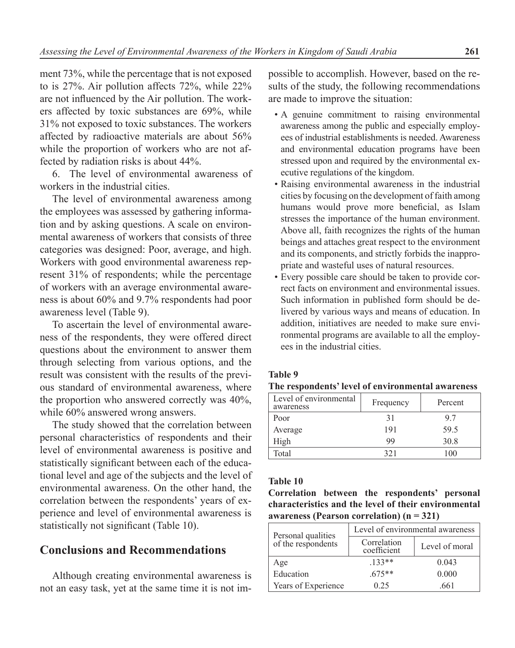ment 73%, while the percentage that is not exposed to is 27%. Air pollution affects 72%, while 22% are not influenced by the Air pollution. The workers affected by toxic substances are 69%, while 31% not exposed to toxic substances. The workers affected by radioactive materials are about 56% while the proportion of workers who are not affected by radiation risks is about 44%.

6. The level of environmental awareness of workers in the industrial cities.

The level of environmental awareness among the employees was assessed by gathering information and by asking questions. A scale on environmental awareness of workers that consists of three categories was designed: Poor, average, and high. Workers with good environmental awareness represent 31% of respondents; while the percentage of workers with an average environmental awareness is about 60% and 9.7% respondents had poor awareness level (Table 9).

To ascertain the level of environmental awareness of the respondents, they were offered direct questions about the environment to answer them through selecting from various options, and the result was consistent with the results of the previous standard of environmental awareness, where the proportion who answered correctly was 40%, while  $60\%$  answered wrong answers.

The study showed that the correlation between personal characteristics of respondents and their level of environmental awareness is positive and statistically significant between each of the educational level and age of the subjects and the level of environmental awareness. On the other hand, the correlation between the respondents' years of experience and level of environmental awareness is statistically not significant (Table 10).

## **Conclusions and Recommendations**

Although creating environmental awareness is not an easy task, yet at the same time it is not impossible to accomplish. However, based on the results of the study, the following recommendations are made to improve the situation:

- A genuine commitment to raising environmental awareness among the public and especially employees of industrial establishments is needed. Awareness and environmental education programs have been stressed upon and required by the environmental executive regulations of the kingdom.
- Raising environmental awareness in the industrial cities by focusing on the development of faith among humans would prove more beneficial, as Islam stresses the importance of the human environment. Above all, faith recognizes the rights of the human beings and attaches great respect to the environment and its components, and strictly forbids the inappropriate and wasteful uses of natural resources.
- Every possible care should be taken to provide correct facts on environment and environmental issues. Such information in published form should be delivered by various ways and means of education. In addition, initiatives are needed to make sure environmental programs are available to all the employees in the industrial cities.

#### **Table 9**

| The respondents' level of environmental awareness |  |  |  |
|---------------------------------------------------|--|--|--|
|---------------------------------------------------|--|--|--|

| Level of environmental<br>awareness | Frequency | Percent |
|-------------------------------------|-----------|---------|
| Poor                                | 31        | 97      |
| Average                             | 191       | 59.5    |
| High                                | 99        | 30.8    |
| Total                               | 321       | 100     |

### **Table 10**

**Correlation between the respondents' personal characteristics and the level of their environmental awareness (Pearson correlation) (n = 321)**

| Personal qualities<br>of the respondents | Level of environmental awareness |                |  |
|------------------------------------------|----------------------------------|----------------|--|
|                                          | Correlation<br>coefficient       | Level of moral |  |
| Age                                      | $.133**$                         | 0.043          |  |
| Education                                | $.675**$                         | 0.000          |  |
| Years of Experience                      | 0.25                             | 661            |  |